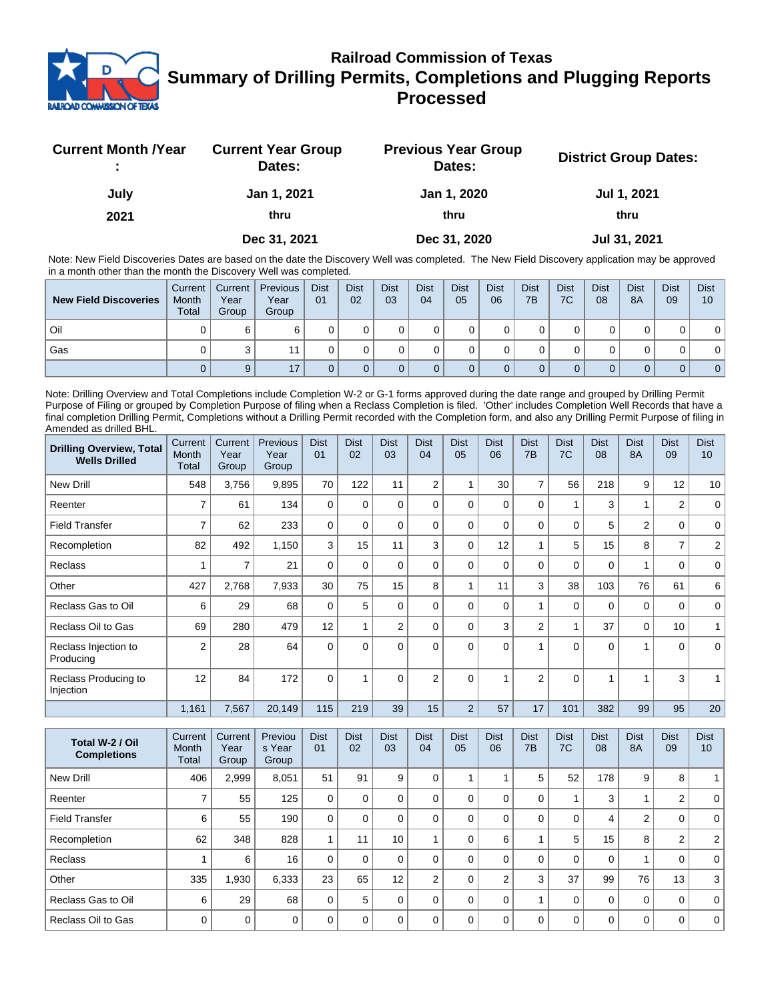

## **Railroad Commission of Texas Summary of Drilling Permits, Completions and Plugging Reports Processed**

| <b>Current Month /Year</b> | <b>Current Year Group</b><br>Dates: | <b>Previous Year Group</b><br>Dates: | <b>District Group Dates:</b> |
|----------------------------|-------------------------------------|--------------------------------------|------------------------------|
| July                       | Jan 1, 2021                         | Jan 1, 2020                          | Jul 1, 2021                  |
| 2021                       | thru                                | thru                                 | thru                         |
|                            | Dec 31, 2021                        | Dec 31, 2020                         | Jul 31, 2021                 |

Note: New Field Discoveries Dates are based on the date the Discovery Well was completed. The New Field Discovery application may be approved in a month other than the month the Discovery Well was completed.

| <b>New Field Discoveries</b> | Current<br>Month<br><b>Total</b> | Current  <br>Year<br>Group | Previous<br>Year<br>Group | <b>Dist</b><br>01 | <b>Dist</b><br>02 | <b>Dist</b><br>03 | <b>Dist</b><br>04 | <b>Dist</b><br>05 | <b>Dist</b><br>06 | <b>Dist</b><br>7B | <b>Dist</b><br>7C | <b>Dist</b><br>08 | <b>Dist</b><br>8A | <b>Dist</b><br>09 | <b>Dist</b><br>10 |
|------------------------------|----------------------------------|----------------------------|---------------------------|-------------------|-------------------|-------------------|-------------------|-------------------|-------------------|-------------------|-------------------|-------------------|-------------------|-------------------|-------------------|
| Oil                          |                                  | 6                          |                           |                   |                   |                   |                   |                   |                   |                   |                   |                   |                   |                   | 0                 |
| Gas                          |                                  |                            |                           |                   |                   |                   |                   |                   |                   |                   |                   |                   |                   |                   | 0                 |
|                              |                                  | 9                          | 17                        |                   |                   |                   |                   |                   |                   |                   |                   |                   |                   |                   | 0 <sup>1</sup>    |

Note: Drilling Overview and Total Completions include Completion W-2 or G-1 forms approved during the date range and grouped by Drilling Permit Purpose of Filing or grouped by Completion Purpose of filing when a Reclass Completion is filed. 'Other' includes Completion Well Records that have a final completion Drilling Permit, Completions without a Drilling Permit recorded with the Completion form, and also any Drilling Permit Purpose of filing in Amended as drilled BHL.

| <b>Drilling Overview, Total</b><br><b>Wells Drilled</b> | Current<br>Month<br><b>Total</b> | Current<br>Year<br>Group | Previous<br>Year<br>Group | <b>Dist</b><br>01 | <b>Dist</b><br>02 | <b>Dist</b><br>03 | <b>Dist</b><br>04 | <b>Dist</b><br>05 | <b>Dist</b><br>06 | <b>Dist</b><br>7B | <b>Dist</b><br>7C | <b>Dist</b><br>08 | <b>Dist</b><br><b>8A</b> | <b>Dist</b><br>09 | <b>Dist</b><br>10 |
|---------------------------------------------------------|----------------------------------|--------------------------|---------------------------|-------------------|-------------------|-------------------|-------------------|-------------------|-------------------|-------------------|-------------------|-------------------|--------------------------|-------------------|-------------------|
| <b>New Drill</b>                                        | 548                              | 3,756                    | 9,895                     | 70                | 122               | 11                | $\overline{2}$    |                   | 30                | $\overline{7}$    | 56                | 218               | 9                        | 12                | 10                |
| Reenter                                                 | 7                                | 61                       | 134                       | $\Omega$          | $\Omega$          | $\Omega$          | $\Omega$          | $\Omega$          | $\Omega$          | 0                 | 1                 | 3                 | 1                        | $\overline{2}$    | $\mathbf 0$       |
| <b>Field Transfer</b>                                   | 7                                | 62                       | 233                       | $\mathbf 0$       | $\Omega$          | 0                 | $\Omega$          | $\Omega$          | 0                 | 0                 | $\mathbf 0$       | 5                 | 2                        | $\mathbf 0$       | $\mathbf 0$       |
| Recompletion                                            | 82                               | 492                      | 1,150                     | 3                 | 15                | 11                | 3                 | $\Omega$          | 12                | 1                 | 5                 | 15                | 8                        | $\overline{7}$    | $\overline{c}$    |
| Reclass                                                 | 1                                | 7                        | 21                        | $\Omega$          | $\Omega$          | 0                 | $\Omega$          | $\Omega$          | 0                 | 0                 | $\mathbf 0$       | 0                 | 1                        | 0                 | 0                 |
| Other                                                   | 427                              | 2,768                    | 7,933                     | 30                | 75                | 15                | 8                 | 4                 | 11                | 3                 | 38                | 103               | 76                       | 61                | 6                 |
| Reclass Gas to Oil                                      | 6                                | 29                       | 68                        | $\Omega$          | 5                 | 0                 | $\Omega$          | $\Omega$          | $\Omega$          | 1                 | $\mathbf 0$       | $\mathbf 0$       | $\mathbf 0$              | $\mathbf 0$       | $\mathbf 0$       |
| Reclass Oil to Gas                                      | 69                               | 280                      | 479                       | 12                |                   | $\overline{2}$    | $\Omega$          | $\Omega$          | 3                 | $\overline{2}$    | 1                 | 37                | $\mathbf 0$              | 10                |                   |
| Reclass Injection to<br>Producing                       | $\overline{2}$                   | 28                       | 64                        | $\Omega$          | $\Omega$          | $\Omega$          | $\Omega$          | $\Omega$          | $\Omega$          | 1                 | $\Omega$          | $\Omega$          | 1                        | $\Omega$          | $\Omega$          |
| Reclass Producing to<br>Injection                       | 12                               | 84                       | 172                       | $\Omega$          | 4                 | $\Omega$          | $\overline{2}$    | $\Omega$          |                   | $\overline{2}$    | $\Omega$          | 1                 | 4                        | 3                 |                   |
|                                                         | 1,161                            | 7,567                    | 20,149                    | 115               | 219               | 39                | 15                | $\overline{2}$    | 57                | 17                | 101               | 382               | 99                       | 95                | 20                |

| Total W-2 / Oil<br><b>Completions</b> | Current<br>Month<br>Total | Current<br>Year<br>Group | Previou<br>s Year<br>Group | <b>Dist</b><br>01 | <b>Dist</b><br>02 | <b>Dist</b><br>03 | <b>Dist</b><br>04 | <b>Dist</b><br>05 | <b>Dist</b><br>06 | <b>Dist</b><br>7B | <b>Dist</b><br>7C | <b>Dist</b><br>08 | <b>Dist</b><br><b>8A</b> | <b>Dist</b><br>09 | <b>Dist</b><br>10 <sup>°</sup> |
|---------------------------------------|---------------------------|--------------------------|----------------------------|-------------------|-------------------|-------------------|-------------------|-------------------|-------------------|-------------------|-------------------|-------------------|--------------------------|-------------------|--------------------------------|
| New Drill                             | 406                       | 2,999                    | 8,051                      | 51                | 91                | 9                 | 0                 |                   |                   | 5                 | 52                | 178               | 9                        | 8                 |                                |
| Reenter                               |                           | 55                       | 125                        | 0                 | 0                 | 0                 | 0                 |                   | $\Omega$          | $\Omega$          |                   | 3                 |                          | 2                 | $\Omega$                       |
| <b>Field Transfer</b>                 | 6                         | 55                       | 190                        | 0                 | 0                 | 0                 |                   |                   | $\Omega$          | 0                 | 0                 | 4                 | 2                        | 0                 | $\overline{0}$                 |
| Recompletion                          | 62                        | 348                      | 828                        |                   | 11                | 10                |                   |                   | 6                 |                   | 5                 | 15                | 8                        | 2                 | 2 <sup>1</sup>                 |
| <b>Reclass</b>                        |                           | 6                        | 16                         | 0                 | 0                 | 0                 |                   |                   | $\Omega$          | $\Omega$          | $\Omega$          | $\Omega$          |                          | $\Omega$          | 0 <sup>1</sup>                 |
| Other                                 | 335                       | 1,930                    | 6,333                      | 23                | 65                | 12                | $\overline{2}$    |                   | 2                 | 3                 | 37                | 99                | 76                       | 13                | 3                              |
| Reclass Gas to Oil                    | 6                         | 29                       | 68                         | 0                 | 5                 | 0                 |                   |                   | $\Omega$          |                   | 0                 | $\mathbf 0$       | 0                        | $\mathbf 0$       | $\mathbf 0$                    |
| Reclass Oil to Gas                    | $\Omega$                  | $\mathbf 0$              | $\Omega$                   | ∩                 | <sup>0</sup>      | O                 |                   |                   | $\Omega$          | $\Omega$          | $\Omega$          | $\Omega$          | 0                        | $\mathbf 0$       | 0 <sup>1</sup>                 |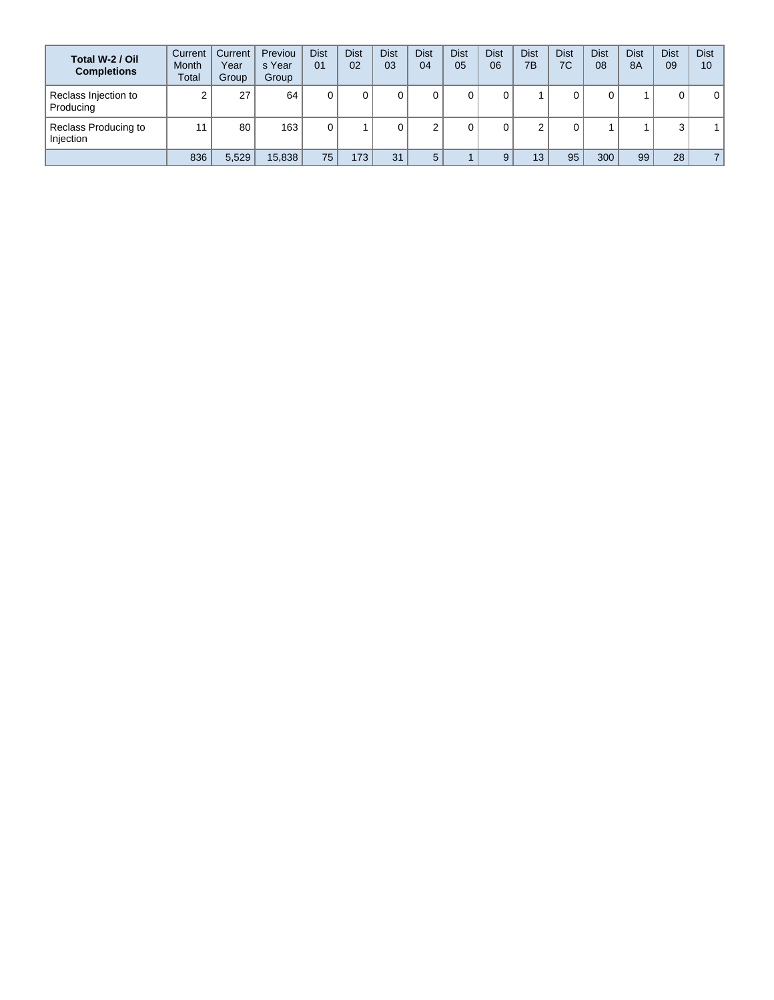| Total W-2 / Oil<br><b>Completions</b> | Current<br><b>Month</b><br><b>Total</b> | Current<br>Year<br>Group | Previou<br>s Year<br>Group | <b>Dist</b><br>01 | <b>Dist</b><br>02 | <b>Dist</b><br>03 | <b>Dist</b><br>04 | <b>Dist</b><br>05 | <b>Dist</b><br>06 | <b>Dist</b><br>7B | <b>Dist</b><br>7C | <b>Dist</b><br>08 | <b>Dist</b><br><b>8A</b> | <b>Dist</b><br>09 | <b>Dist</b><br>10 |
|---------------------------------------|-----------------------------------------|--------------------------|----------------------------|-------------------|-------------------|-------------------|-------------------|-------------------|-------------------|-------------------|-------------------|-------------------|--------------------------|-------------------|-------------------|
| Reclass Injection to<br>Producing     |                                         | 27                       | 64                         |                   |                   |                   | 0                 |                   |                   |                   |                   | υ                 |                          | 0                 | 0                 |
| Reclass Producing to<br>Injection     | 11                                      | 80                       | 163                        |                   |                   |                   |                   |                   |                   |                   |                   |                   |                          | 3                 |                   |
|                                       | 836                                     | 5,529                    | 15,838                     | 75                | 173               | 31                | 5                 |                   |                   | 13                | 95                | 300               | 99                       | 28                |                   |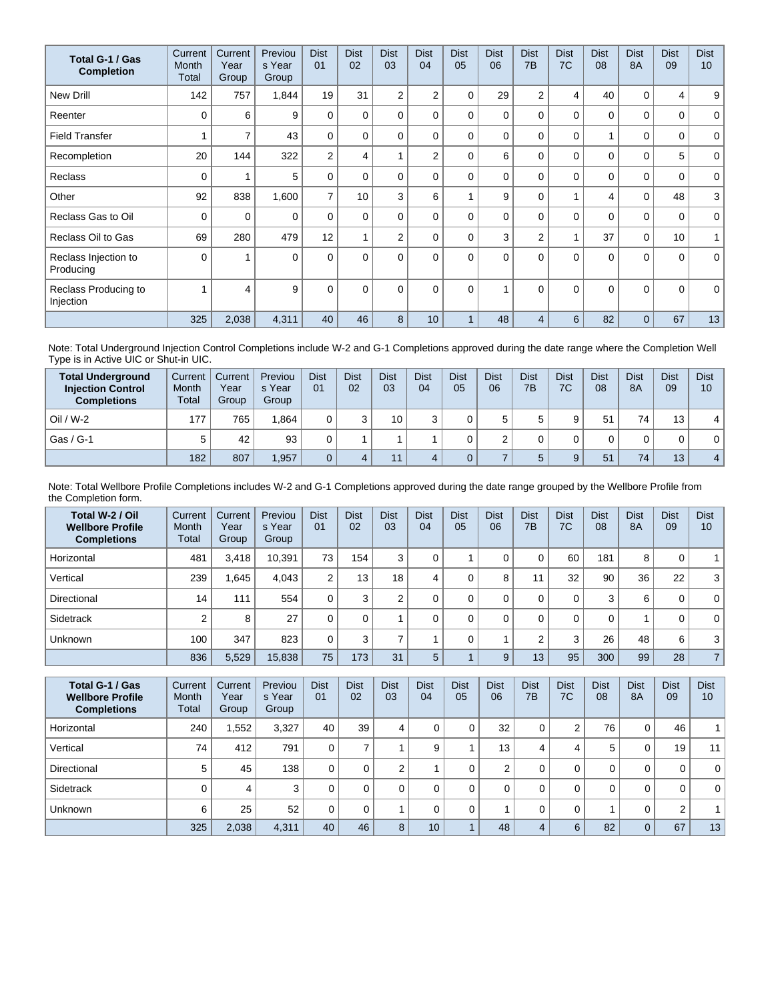| Total G-1 / Gas<br><b>Completion</b> | Current<br>Month<br>Total | Current<br>Year<br>Group | Previou<br>s Year<br>Group | <b>Dist</b><br>01 | <b>Dist</b><br>02 | <b>Dist</b><br>03 | <b>Dist</b><br>04 | <b>Dist</b><br>05 | <b>Dist</b><br>06 | <b>Dist</b><br>7 <sub>B</sub> | <b>Dist</b><br>7C | <b>Dist</b><br>08 | <b>Dist</b><br><b>8A</b> | <b>Dist</b><br>09 | <b>Dist</b><br>10 <sup>°</sup> |
|--------------------------------------|---------------------------|--------------------------|----------------------------|-------------------|-------------------|-------------------|-------------------|-------------------|-------------------|-------------------------------|-------------------|-------------------|--------------------------|-------------------|--------------------------------|
| <b>New Drill</b>                     | 142                       | 757                      | 1,844                      | 19                | 31                | $\overline{2}$    | $\overline{2}$    | 0                 | 29                | $\overline{2}$                | 4                 | 40                | 0                        | 4                 | 9                              |
| Reenter                              | $\Omega$                  | 6                        | 9                          | $\Omega$          | 0                 | $\Omega$          | 0                 | 0                 | $\Omega$          | $\Omega$                      | $\Omega$          | $\mathbf{0}$      | $\Omega$                 | 0                 | $\mathbf 0$                    |
| <b>Field Transfer</b>                |                           | $\overline{7}$           | 43                         | $\mathbf 0$       | 0                 | $\Omega$          | $\mathbf 0$       | $\Omega$          | $\Omega$          | $\Omega$                      | 0                 |                   | $\Omega$                 | 0                 | $\mathbf 0$                    |
| Recompletion                         | 20                        | 144                      | 322                        | $\overline{2}$    | 4                 |                   | $\overline{2}$    | $\Omega$          | 6                 | $\Omega$                      | $\Omega$          | 0                 | $\Omega$                 | 5                 | $\mathbf 0$                    |
| <b>Reclass</b>                       | $\Omega$                  |                          | 5                          | $\Omega$          | 0                 | $\Omega$          | 0                 | $\Omega$          | $\Omega$          | $\Omega$                      | $\Omega$          | $\mathbf{0}$      | $\Omega$                 | 0                 | $\mathbf 0$                    |
| Other                                | 92                        | 838                      | 1,600                      | $\overline{7}$    | 10                | 3                 | 6                 |                   | 9                 | 0                             | 1                 | 4                 | $\mathbf 0$              | 48                | 3                              |
| Reclass Gas to Oil                   | 0                         | 0                        | $\Omega$                   | $\Omega$          | $\Omega$          | $\Omega$          | 0                 | $\Omega$          | $\Omega$          | $\Omega$                      | 0                 | $\Omega$          | $\Omega$                 | 0                 | $\mathbf{0}$                   |
| Reclass Oil to Gas                   | 69                        | 280                      | 479                        | 12                |                   | $\overline{2}$    | 0                 | $\Omega$          | 3                 | $\overline{2}$                | 1                 | 37                | $\mathbf 0$              | 10                | $\mathbf{1}$                   |
| Reclass Injection to<br>Producing    | $\Omega$                  |                          | $\Omega$                   | $\Omega$          | $\Omega$          | $\Omega$          | $\Omega$          | $\Omega$          | $\Omega$          | $\Omega$                      | $\Omega$          | $\Omega$          | $\Omega$                 | $\Omega$          | $\mathbf{0}$                   |
| Reclass Producing to<br>Injection    |                           | 4                        | 9                          | $\mathbf{0}$      | $\Omega$          | $\Omega$          | $\Omega$          | $\Omega$          |                   | $\Omega$                      | $\Omega$          | $\Omega$          | $\Omega$                 | $\Omega$          | $\mathbf 0$                    |
|                                      | 325                       | 2,038                    | 4,311                      | 40                | 46                | 8                 | 10                |                   | 48                | $\overline{4}$                | 6                 | 82                | $\Omega$                 | 67                | 13                             |

Note: Total Underground Injection Control Completions include W-2 and G-1 Completions approved during the date range where the Completion Well Type is in Active UIC or Shut-in UIC.

| <b>Total Underground</b><br><b>Injection Control</b><br><b>Completions</b> | Current<br>Month<br>Total | Current<br>Year<br>Group | Previou<br>s Year<br>Group | <b>Dist</b><br>01 | <b>Dist</b><br>02 | <b>Dist</b><br>03 | <b>Dist</b><br>04 | <b>Dist</b><br>05 | Dist<br>06 | <b>Dist</b><br>7B | <b>Dist</b><br>7C | <b>Dist</b><br>08 | <b>Dist</b><br><b>8A</b> | <b>Dist</b><br>09 | <b>Dist</b><br>10 |
|----------------------------------------------------------------------------|---------------------------|--------------------------|----------------------------|-------------------|-------------------|-------------------|-------------------|-------------------|------------|-------------------|-------------------|-------------------|--------------------------|-------------------|-------------------|
| $Oil / W-2$                                                                | 177                       | 765                      | 1.864                      |                   |                   | 10 <sub>1</sub>   |                   |                   | 5          |                   | 9                 | 51                | 74                       | 13 <sub>1</sub>   | 4                 |
| Gas / G-1                                                                  |                           | 42                       | 93                         |                   |                   |                   |                   |                   |            |                   |                   |                   | 0                        |                   | 0                 |
|                                                                            | 182                       | 807                      | 1,957                      |                   |                   | 11                |                   |                   |            |                   | 9                 | 51                | 74                       | 13                | $\overline{4}$    |

Note: Total Wellbore Profile Completions includes W-2 and G-1 Completions approved during the date range grouped by the Wellbore Profile from the Completion form.

| Total W-2 / Oil<br><b>Wellbore Profile</b><br><b>Completions</b> | Current<br><b>Month</b><br>Total | Current<br>Year<br>Group | Previou<br>s Year<br>Group | <b>Dist</b><br>01 | <b>Dist</b><br>02 | <b>Dist</b><br>03 | <b>Dist</b><br>04 | <b>Dist</b><br>05 | <b>Dist</b><br>06 | <b>Dist</b><br>7 <sub>B</sub> | <b>Dist</b><br>7C | <b>Dist</b><br>08 | <b>Dist</b><br><b>8A</b> | <b>Dist</b><br>09 | <b>Dist</b><br>10 |
|------------------------------------------------------------------|----------------------------------|--------------------------|----------------------------|-------------------|-------------------|-------------------|-------------------|-------------------|-------------------|-------------------------------|-------------------|-------------------|--------------------------|-------------------|-------------------|
| Horizontal                                                       | 481                              | 3,418                    | 10,391                     | 73                | 154               | 3                 |                   |                   |                   | 0                             | 60                | 181               | 8                        | 0                 | $\mathbf{1}$      |
| Vertical                                                         | 239                              | .645                     | 4.043                      | 2                 | 13                | 18 <sub>1</sub>   | 4                 |                   | 8                 | 11                            | 32                | 90                | 36                       | 22                | 3                 |
| Directional                                                      | 14                               | 111                      | 554                        | 0                 | 3                 | ◠                 |                   |                   |                   | 0                             | $\Omega$          | 3                 | 6                        | 0                 | $\mathbf{0}$      |
| Sidetrack                                                        | ົ                                | 8                        | 27                         |                   | $\Omega$          |                   |                   |                   | $\Omega$          | 0                             | 0                 | 0                 |                          | 0                 | $\mathbf 0$       |
| Unknown                                                          | 100                              | 347                      | 823                        |                   | 3                 |                   |                   |                   |                   | 2                             | 3                 | 26                | 48                       | 6                 | 3                 |
|                                                                  | 836                              | 5,529                    | 15,838                     | 75                | 173               | 31                | 5                 |                   | 9                 | 13                            | 95                | 300               | 99                       | 28                | $\overline{7}$    |

| Total G-1 / Gas<br><b>Wellbore Profile</b><br><b>Completions</b> | Current<br><b>Month</b><br>Total | Current<br>Year<br>Group | Previou<br>s Year<br>Group | <b>Dist</b><br>01 | <b>Dist</b><br>02 | <b>Dist</b><br>03 | <b>Dist</b><br>04 | <b>Dist</b><br>05 | <b>Dist</b><br>06 | <b>Dist</b><br>7B | <b>Dist</b><br>7C | <b>Dist</b><br>08 | <b>Dist</b><br>8A | <b>Dist</b><br>09 | <b>Dist</b><br>10 |
|------------------------------------------------------------------|----------------------------------|--------------------------|----------------------------|-------------------|-------------------|-------------------|-------------------|-------------------|-------------------|-------------------|-------------------|-------------------|-------------------|-------------------|-------------------|
| Horizontal                                                       | 240                              | 552.                     | 3,327                      | 40                | 39                | 4                 | 0.                |                   | 32                | 0                 | 2                 | 76                | 0                 | 46                | a ka              |
| Vertical                                                         | 74                               | 412                      | 791                        | 0                 |                   |                   | 9                 |                   | 13                | 4                 | 4                 | 5                 | 0                 | 19 <sub>1</sub>   | 11 <sup>1</sup>   |
| Directional                                                      | 5                                | 45                       | 138                        | 0                 |                   | 2                 |                   |                   | ◠                 | 0                 | 0                 | 0                 | 0                 | 0                 | 0 <sup>1</sup>    |
| Sidetrack                                                        |                                  | 4                        | 3                          | 0                 |                   | $\Omega$          |                   |                   |                   | 0                 | 0                 | 0                 | 0                 | 0                 | 0 <sup>1</sup>    |
| <b>Unknown</b>                                                   | 6                                | 25                       | 52                         | 0                 |                   |                   |                   |                   |                   | 0                 | 0                 |                   | 0                 | 2                 |                   |
|                                                                  | 325                              | 2,038                    | 4,311                      | 40                | 46                | 8                 | 10 <sup>°</sup>   |                   | 48                | 4                 | 6                 | 82                | $\overline{0}$    | 67                | 13                |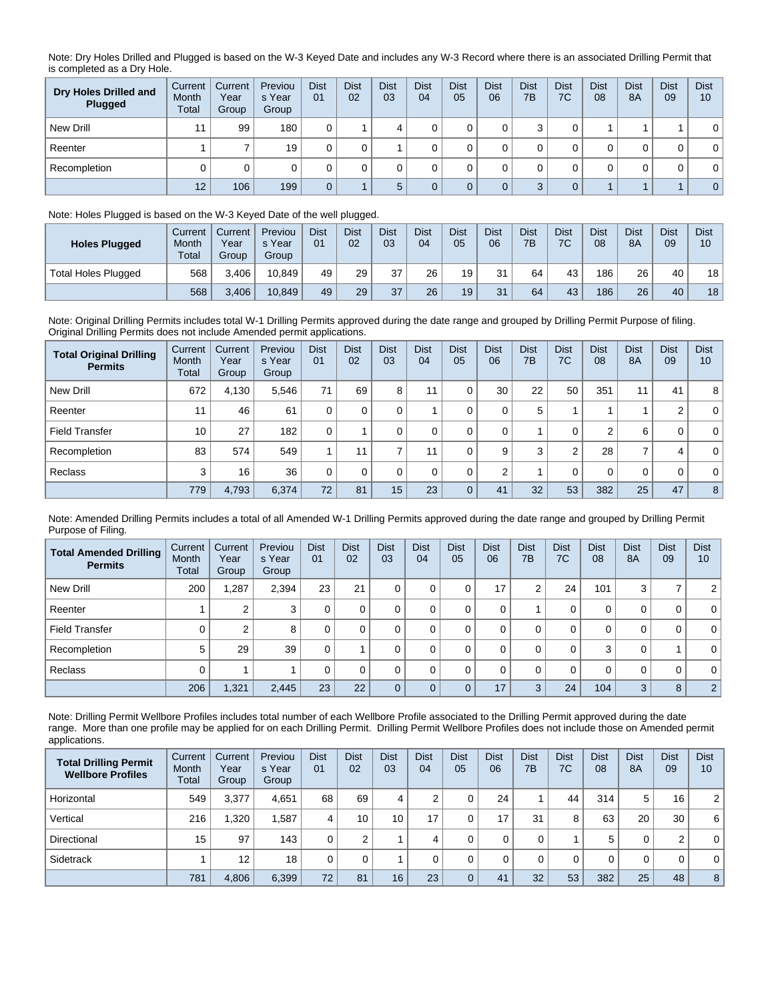Note: Dry Holes Drilled and Plugged is based on the W-3 Keyed Date and includes any W-3 Record where there is an associated Drilling Permit that is completed as a Dry Hole.

| Dry Holes Drilled and<br>Plugged | Current<br>Month<br>Total | Current<br>Year<br>Group | Previou<br>s Year<br>Group | <b>Dist</b><br>01 | <b>Dist</b><br>02 | <b>Dist</b><br>03 | <b>Dist</b><br>04 | <b>Dist</b><br>05 | <b>Dist</b><br>06 | <b>Dist</b><br>7B | <b>Dist</b><br>7C | <b>Dist</b><br>08 | <b>Dist</b><br>8A | <b>Dist</b><br>09 | <b>Dist</b><br>10 |
|----------------------------------|---------------------------|--------------------------|----------------------------|-------------------|-------------------|-------------------|-------------------|-------------------|-------------------|-------------------|-------------------|-------------------|-------------------|-------------------|-------------------|
| New Drill                        | 44                        | 99                       | 180                        |                   |                   |                   |                   |                   |                   | ົ<br>w            |                   |                   |                   |                   | $\mathbf{0}$      |
| Reenter                          |                           |                          | 19                         |                   |                   |                   |                   |                   |                   |                   |                   |                   |                   | 0                 | $\mathbf 0$       |
| Recompletion                     |                           |                          |                            |                   |                   |                   |                   |                   |                   |                   |                   |                   |                   | 0                 | 0                 |
|                                  | 12                        | 106                      | 199                        | $\Omega$          |                   |                   |                   |                   |                   | ◠                 | $\Omega$          |                   |                   |                   | $\overline{0}$    |

## Note: Holes Plugged is based on the W-3 Keyed Date of the well plugged.

| <b>Holes Plugged</b> | Current<br>Month<br><b>Total</b> | Current<br>Year<br>Group | Previou<br>s Year<br>Group | <b>Dist</b><br>01 | <b>Dist</b><br>02 | <b>Dist</b><br>03 | Dist<br>04 | <b>Dist</b><br>05 | Dist<br>06 | <b>Dist</b><br>7B | <b>Dist</b><br>7C | <b>Dist</b><br>08 | <b>Dist</b><br><b>8A</b> | Dist<br>09 | <b>Dist</b><br>10 |
|----------------------|----------------------------------|--------------------------|----------------------------|-------------------|-------------------|-------------------|------------|-------------------|------------|-------------------|-------------------|-------------------|--------------------------|------------|-------------------|
| Total Holes Plugged  | 568                              | 3.406                    | 10.849                     | 49                | 29                | 37                | 26         | 19                | 31         | 64                | 43                | 186               | 26                       | 40         | 18 <sub>1</sub>   |
|                      | 568                              | 3,406                    | 10.849                     | 49                | 29                | 37                | 26         | 19                | 31         | 64                | 43                | 186               | 26                       | 40         | 18                |

Note: Original Drilling Permits includes total W-1 Drilling Permits approved during the date range and grouped by Drilling Permit Purpose of filing. Original Drilling Permits does not include Amended permit applications.

| <b>Total Original Drilling</b><br><b>Permits</b> | Current<br>Month<br>Total | Current<br>Year<br>Group | Previou<br>s Year<br>Group | <b>Dist</b><br>01 | <b>Dist</b><br>02 | <b>Dist</b><br>03 | <b>Dist</b><br>04 | <b>Dist</b><br>05 | <b>Dist</b><br>06 | <b>Dist</b><br>7B | <b>Dist</b><br>7C | <b>Dist</b><br>08 | <b>Dist</b><br><b>8A</b> | <b>Dist</b><br>09 | <b>Dist</b><br>10 |
|--------------------------------------------------|---------------------------|--------------------------|----------------------------|-------------------|-------------------|-------------------|-------------------|-------------------|-------------------|-------------------|-------------------|-------------------|--------------------------|-------------------|-------------------|
| New Drill                                        | 672                       | 4.130                    | 5.546                      | 71                | 69                | 8                 | 11                |                   | 30                | 22                | 50                | 351               | 11                       | 41                | 8 <sup>1</sup>    |
| Reenter                                          | 11                        | 46                       | 61                         |                   | 0                 |                   |                   |                   | 0                 | 5                 |                   |                   |                          | 2                 | $\overline{0}$    |
| <b>Field Transfer</b>                            | 10                        | 27                       | 182                        | $\Omega$          |                   |                   |                   |                   | 0                 |                   | 0                 | 2                 | 6                        | 0                 | $\overline{0}$    |
| Recompletion                                     | 83                        | 574                      | 549                        |                   | 11                |                   |                   |                   | 9                 | 3                 | $\overline{2}$    | 28                | 7                        | 4                 | $\overline{0}$    |
| Reclass                                          | 3                         | 16                       | 36                         |                   | 0                 | 0                 | $\Omega$          |                   | 2                 |                   | 0                 | 0                 | 0                        | 0                 | $\overline{0}$    |
|                                                  | 779                       | 4,793                    | 6,374                      | 72                | 81                | 15                | 23                |                   | 41                | 32                | 53                | 382               | 25                       | 47                | 8 <sup>1</sup>    |

Note: Amended Drilling Permits includes a total of all Amended W-1 Drilling Permits approved during the date range and grouped by Drilling Permit Purpose of Filing.

| <b>Total Amended Drilling</b><br><b>Permits</b> | Current<br><b>Month</b><br>Total | Current<br>Year<br>Group | Previou<br>s Year<br>Group | <b>Dist</b><br>01 | <b>Dist</b><br>02 | <b>Dist</b><br>03 | <b>Dist</b><br>04 | <b>Dist</b><br>05 | <b>Dist</b><br>06 | <b>Dist</b><br>7B | <b>Dist</b><br>7C | <b>Dist</b><br>08 | <b>Dist</b><br><b>8A</b> | <b>Dist</b><br>09 | <b>Dist</b><br>10 |
|-------------------------------------------------|----------------------------------|--------------------------|----------------------------|-------------------|-------------------|-------------------|-------------------|-------------------|-------------------|-------------------|-------------------|-------------------|--------------------------|-------------------|-------------------|
| New Drill                                       | 200                              | 1,287                    | 2,394                      | 23                | 21                | $\mathbf 0$       |                   | 0                 | 17                | 2                 | 24                | 101               | 3                        | ⇁                 | 2 <sup>1</sup>    |
| Reenter                                         |                                  | 2                        | 3                          | 0                 |                   | 0                 |                   | $\mathbf 0$       | 0                 |                   | 0                 | 0                 | 0                        | 0                 | 0 <sup>1</sup>    |
| <b>Field Transfer</b>                           |                                  | 2                        | 8                          | 0                 |                   |                   |                   | 0                 | 0                 | 0                 | 0                 | 0                 | 0                        | 0                 | 0 <sup>1</sup>    |
| Recompletion                                    | 5                                | 29                       | 39                         | 0                 |                   | 0                 |                   | 0                 | 0                 | 0                 | 0                 | 3                 | 0                        |                   | 0 <sup>1</sup>    |
| Reclass                                         |                                  |                          |                            | 0                 |                   | $\Omega$          |                   | $\Omega$          | 0                 | 0                 | 0                 | $\mathbf 0$       | 0                        | 0                 | 0 <sup>1</sup>    |
|                                                 | 206                              | ,321                     | 2,445                      | 23                | 22                |                   |                   | $\Omega$          | 17                | 3                 | 24                | 104               | 3                        | 8                 | 2 <sup>1</sup>    |

Note: Drilling Permit Wellbore Profiles includes total number of each Wellbore Profile associated to the Drilling Permit approved during the date range. More than one profile may be applied for on each Drilling Permit. Drilling Permit Wellbore Profiles does not include those on Amended permit applications.

| <b>Total Drilling Permit</b><br><b>Wellbore Profiles</b> | Current<br>Month<br>Total | Current<br>Year<br>Group | Previou<br>s Year<br>Group | <b>Dist</b><br>01 | <b>Dist</b><br>02 | <b>Dist</b><br>03 | <b>Dist</b><br>04 | <b>Dist</b><br>05 | <b>Dist</b><br>06 | <b>Dist</b><br>7B | <b>Dist</b><br>7C | <b>Dist</b><br>08 | <b>Dist</b><br>8A | <b>Dist</b><br>09 | <b>Dist</b><br>10 |
|----------------------------------------------------------|---------------------------|--------------------------|----------------------------|-------------------|-------------------|-------------------|-------------------|-------------------|-------------------|-------------------|-------------------|-------------------|-------------------|-------------------|-------------------|
| Horizontal                                               | 549                       | 3.377                    | 4,651                      | 68                | 69                | 4                 | C                 |                   | 24                |                   | 44                | 314               | 5                 | 16                | 2                 |
| Vertical                                                 | 216                       | 1,320                    | .587                       | 4                 | 10                | 10                | 17                |                   | 17                | 31                | 8                 | 63                | 20                | 30                | 6                 |
| Directional                                              | 15                        | 97                       | 143                        | 0                 | $\sim$            |                   | 4                 |                   |                   | 0                 |                   | 5                 | 0                 | 2                 | $\mathbf{0}$      |
| Sidetrack                                                |                           | 12                       | 18                         | $\Omega$          |                   |                   |                   |                   |                   |                   | 0                 | $\Omega$          | 0                 | 0                 | $\mathbf{0}$      |
|                                                          | 781                       | 4,806                    | 6,399                      | 72                | 81                | 16                | 23                |                   | 41                | 32                | 53                | 382               | 25                | 48                | 8                 |